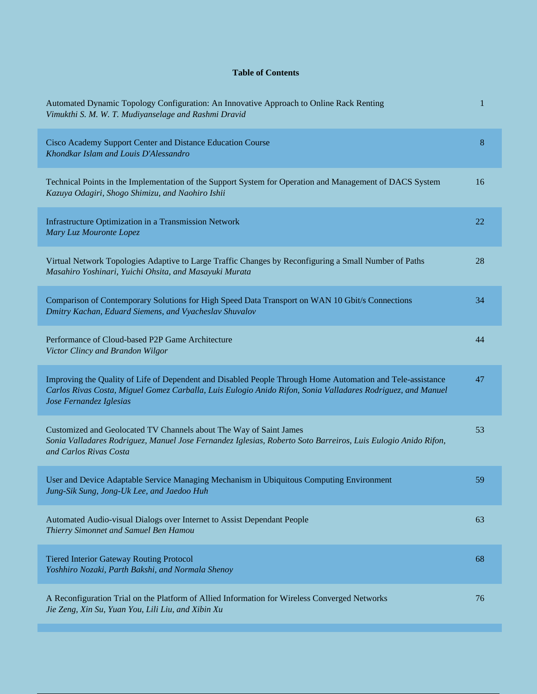## **Table of Contents**

| Automated Dynamic Topology Configuration: An Innovative Approach to Online Rack Renting<br>Vimukthi S. M. W. T. Mudiyanselage and Rashmi Dravid                                                                                                      | 1  |
|------------------------------------------------------------------------------------------------------------------------------------------------------------------------------------------------------------------------------------------------------|----|
| Cisco Academy Support Center and Distance Education Course<br>Khondkar Islam and Louis D'Alessandro                                                                                                                                                  | 8  |
| Technical Points in the Implementation of the Support System for Operation and Management of DACS System<br>Kazuya Odagiri, Shogo Shimizu, and Naohiro Ishii                                                                                         | 16 |
| Infrastructure Optimization in a Transmission Network<br>Mary Luz Mouronte Lopez                                                                                                                                                                     | 22 |
| Virtual Network Topologies Adaptive to Large Traffic Changes by Reconfiguring a Small Number of Paths<br>Masahiro Yoshinari, Yuichi Ohsita, and Masayuki Murata                                                                                      | 28 |
| Comparison of Contemporary Solutions for High Speed Data Transport on WAN 10 Gbit/s Connections<br>Dmitry Kachan, Eduard Siemens, and Vyacheslav Shuvalov                                                                                            | 34 |
| Performance of Cloud-based P2P Game Architecture<br>Victor Clincy and Brandon Wilgor                                                                                                                                                                 | 44 |
| Improving the Quality of Life of Dependent and Disabled People Through Home Automation and Tele-assistance<br>Carlos Rivas Costa, Miguel Gomez Carballa, Luis Eulogio Anido Rifon, Sonia Valladares Rodriguez, and Manuel<br>Jose Fernandez Iglesias | 47 |
| Customized and Geolocated TV Channels about The Way of Saint James<br>Sonia Valladares Rodriguez, Manuel Jose Fernandez Iglesias, Roberto Soto Barreiros, Luis Eulogio Anido Rifon,<br>and Carlos Rivas Costa                                        | 53 |
| User and Device Adaptable Service Managing Mechanism in Ubiquitous Computing Environment<br>Jung-Sik Sung, Jong-Uk Lee, and Jaedoo Huh                                                                                                               | 59 |
| Automated Audio-visual Dialogs over Internet to Assist Dependant People<br>Thierry Simonnet and Samuel Ben Hamou                                                                                                                                     | 63 |
| <b>Tiered Interior Gateway Routing Protocol</b><br>Yoshhiro Nozaki, Parth Bakshi, and Normala Shenoy                                                                                                                                                 | 68 |
| A Reconfiguration Trial on the Platform of Allied Information for Wireless Converged Networks<br>Jie Zeng, Xin Su, Yuan You, Lili Liu, and Xibin Xu                                                                                                  | 76 |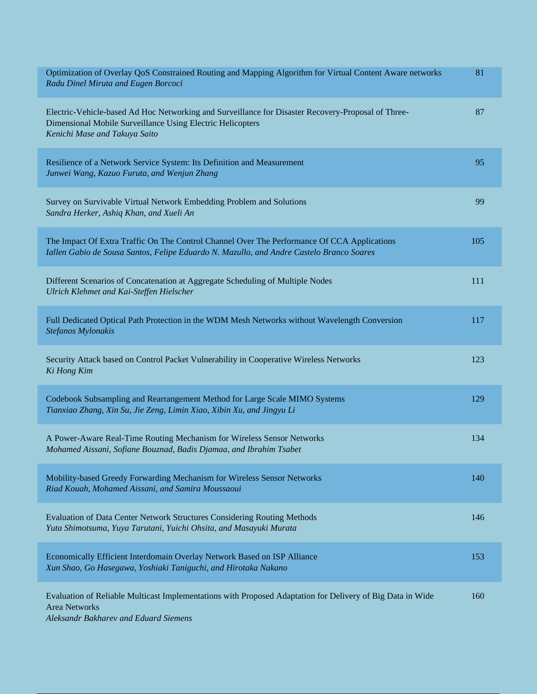| Optimization of Overlay QoS Constrained Routing and Mapping Algorithm for Virtual Content Aware networks<br>Radu Dinel Miruta and Eugen Borcoci                                                   | 81  |
|---------------------------------------------------------------------------------------------------------------------------------------------------------------------------------------------------|-----|
| Electric-Vehicle-based Ad Hoc Networking and Surveillance for Disaster Recovery-Proposal of Three-<br>Dimensional Mobile Surveillance Using Electric Helicopters<br>Kenichi Mase and Takuya Saito | 87  |
| Resilience of a Network Service System: Its Definition and Measurement<br>Junwei Wang, Kazuo Furuta, and Wenjun Zhang                                                                             | 95  |
| Survey on Survivable Virtual Network Embedding Problem and Solutions<br>Sandra Herker, Ashiq Khan, and Xueli An                                                                                   | 99  |
| The Impact Of Extra Traffic On The Control Channel Over The Performance Of CCA Applications<br>Iallen Gabio de Sousa Santos, Felipe Eduardo N. Mazullo, and Andre Castelo Branco Soares           | 105 |
| Different Scenarios of Concatenation at Aggregate Scheduling of Multiple Nodes<br>Ulrich Klehmet and Kai-Steffen Hielscher                                                                        | 111 |
| Full Dedicated Optical Path Protection in the WDM Mesh Networks without Wavelength Conversion<br>Stefanos Mylonakis                                                                               | 117 |
| Security Attack based on Control Packet Vulnerability in Cooperative Wireless Networks<br>Ki Hong Kim                                                                                             | 123 |
| Codebook Subsampling and Rearrangement Method for Large Scale MIMO Systems<br>Tianxiao Zhang, Xin Su, Jie Zeng, Limin Xiao, Xibin Xu, and Jingyu Li                                               | 129 |
| A Power-Aware Real-Time Routing Mechanism for Wireless Sensor Networks<br>Mohamed Aissani, Sofiane Bouznad, Badis Djamaa, and Ibrahim Tsabet                                                      | 134 |
| Mobility-based Greedy Forwarding Mechanism for Wireless Sensor Networks<br>Riad Kouah, Mohamed Aissani, and Samira Moussaoui                                                                      | 140 |
| Evaluation of Data Center Network Structures Considering Routing Methods<br>Yuta Shimotsuma, Yuya Tarutani, Yuichi Ohsita, and Masayuki Murata                                                    | 146 |
| Economically Efficient Interdomain Overlay Network Based on ISP Alliance<br>Xun Shao, Go Hasegawa, Yoshiaki Taniguchi, and Hirotaka Nakano                                                        | 153 |
| Evaluation of Reliable Multicast Implementations with Proposed Adaptation for Delivery of Big Data in Wide<br><b>Area Networks</b>                                                                | 160 |

*Aleksandr Bakharev and Eduard Siemens*